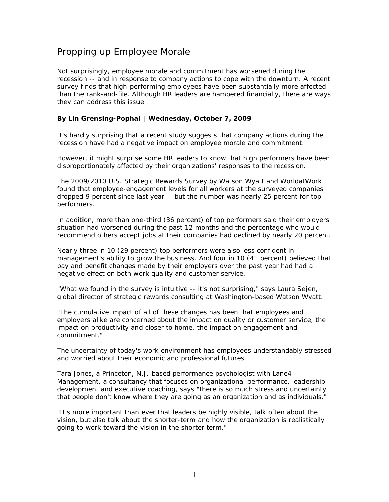# Propping up Employee Morale

*Not surprisingly, employee morale and commitment has worsened during the recession -- and in response to company actions to cope with the downturn. A recent survey finds that high-performing employees have been substantially more affected than the rank-and-file. Although HR leaders are hampered financially, there are ways they can address this issue.* 

# **By Lin Grensing-Pophal | Wednesday, October 7, 2009**

It's hardly surprising that a recent study suggests that company actions during the recession have had a negative impact on employee morale and commitment.

However, it might surprise some HR leaders to know that high performers have been disproportionately affected by their organizations' responses to the recession.

The *2009/2010 U.S. Strategic Rewards Survey* by Watson Wyatt and WorldatWork found that employee-engagement levels for all workers at the surveyed companies dropped 9 percent since last year -- but the number was nearly 25 percent for top performers.

In addition, more than one-third (36 percent) of top performers said their employers' situation had worsened during the past 12 months and the percentage who would recommend others accept jobs at their companies had declined by nearly 20 percent.

Nearly three in 10 (29 percent) top performers were also less confident in management's ability to grow the business. And four in 10 (41 percent) believed that pay and benefit changes made by their employers over the past year had had a negative effect on both work quality and customer service.

"What we found in the survey is intuitive -- it's not surprising," says Laura Sejen, global director of strategic rewards consulting at Washington-based Watson Wyatt.

"The cumulative impact of all of these changes has been that employees and employers alike are concerned about the impact on quality or customer service, the impact on productivity and closer to home, the impact on engagement and commitment."

The uncertainty of today's work environment has employees understandably stressed and worried about their economic and professional futures.

Tara Jones, a Princeton, N.J.-based performance psychologist with Lane4 Management, a consultancy that focuses on organizational performance, leadership development and executive coaching, says "there is so much stress and uncertainty that people don't know where they are going as an organization and as individuals."

"It's more important than ever that leaders be highly visible, talk often about the vision, but also talk about the shorter-term and how the organization is realistically going to work toward the vision in the shorter term."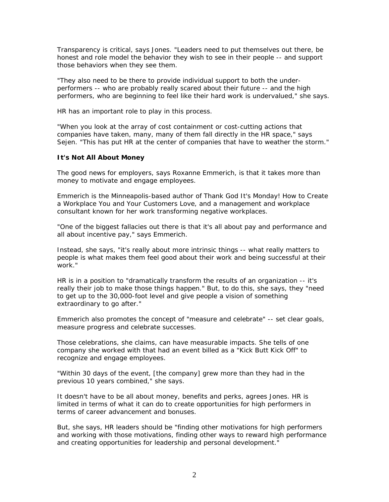Transparency is critical, says Jones. "Leaders need to put themselves out there, be honest and role model the behavior they wish to see in their people -- and support those behaviors when they see them.

"They also need to be there to provide individual support to both the underperformers -- who are probably really scared about their future -- and the high performers, who are beginning to feel like their hard work is undervalued," she says.

HR has an important role to play in this process.

"When you look at the array of cost containment or cost-cutting actions that companies have taken, many, many of them fall directly in the HR space," says Sejen. "This has put HR at the center of companies that have to weather the storm."

### **It's Not** *All* **About Money**

The good news for employers, says Roxanne Emmerich, is that it takes more than money to motivate and engage employees.

Emmerich is the Minneapolis-based author of *Thank God It's Monday! How to Create a Workplace You and Your Customers Love*, and a management and workplace consultant known for her work transforming negative workplaces.

"One of the biggest fallacies out there is that it's all about pay and performance and all about incentive pay," says Emmerich.

Instead, she says, "it's really about more intrinsic things -- what really matters to people is what makes them feel good about their work and being successful at their work."

HR is in a position to "dramatically transform the results of an organization -- it's really their job to make those things happen." But, to do this, she says, they "need to get up to the 30,000-foot level and give people a vision of something extraordinary to go after."

Emmerich also promotes the concept of "measure and celebrate" -- set clear goals, measure progress and celebrate successes.

Those celebrations, she claims, can have measurable impacts. She tells of one company she worked with that had an event billed as a "Kick Butt Kick Off" to recognize and engage employees.

"Within 30 days of the event, [the company] grew more than they had in the previous 10 years combined," she says.

It doesn't have to be all about money, benefits and perks, agrees Jones. HR is limited in terms of what it can do to create opportunities for high performers in terms of career advancement and bonuses.

But, she says, HR leaders should be "finding other motivations for high performers and working with those motivations, finding other ways to reward high performance and creating opportunities for leadership and personal development."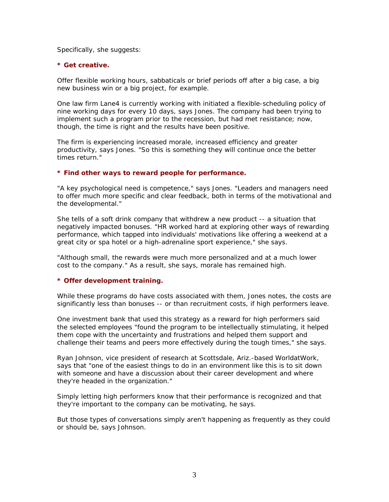Specifically, she suggests:

## **\* Get creative.**

Offer flexible working hours, sabbaticals or brief periods off after a big case, a big new business win or a big project, for example.

One law firm Lane4 is currently working with initiated a flexible-scheduling policy of nine working days for every 10 days, says Jones. The company had been trying to implement such a program prior to the recession, but had met resistance; now, though, the time is right and the results have been positive.

The firm is experiencing increased morale, increased efficiency and greater productivity, says Jones. "So this is something they will continue once the better times return."

# **\* Find other ways to reward people for performance.**

"A key psychological need is competence," says Jones. "Leaders and managers need to offer much more specific and clear feedback, both in terms of the motivational and the developmental."

She tells of a soft drink company that withdrew a new product -- a situation that negatively impacted bonuses. "HR worked hard at exploring other ways of rewarding performance, which tapped into individuals' motivations like offering a weekend at a great city or spa hotel or a high-adrenaline sport experience," she says.

"Although small, the rewards were much more personalized and at a much lower cost to the company." As a result, she says, morale has remained high.

### **\* Offer development training.**

While these programs do have costs associated with them, Jones notes, the costs are significantly less than bonuses -- or than recruitment costs, if high performers leave.

One investment bank that used this strategy as a reward for high performers said the selected employees "found the program to be intellectually stimulating, it helped them cope with the uncertainty and frustrations and helped them support and challenge their teams and peers more effectively during the tough times," she says.

Ryan Johnson, vice president of research at Scottsdale, Ariz.-based WorldatWork, says that "one of the easiest things to do in an environment like this is to sit down with someone and have a discussion about their career development and where they're headed in the organization."

Simply letting high performers know that their performance is recognized and that they're important to the company can be motivating, he says.

But those types of conversations simply aren't happening as frequently as they could or should be, says Johnson.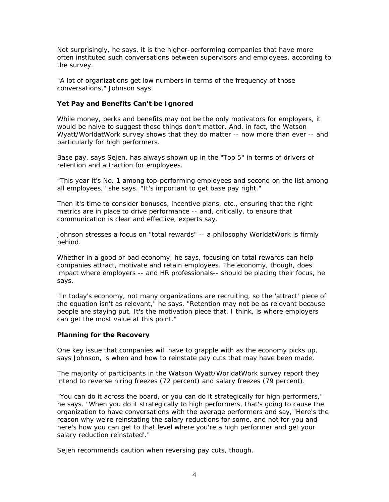Not surprisingly, he says, it is the higher-performing companies that have more often instituted such conversations between supervisors and employees, according to the survey.

"A lot of organizations get low numbers in terms of the frequency of those conversations," Johnson says.

# **Yet Pay and Benefits Can't be Ignored**

While money, perks and benefits may not be the only motivators for employers, it would be naive to suggest these things don't matter. And, in fact, the Watson Wyatt/WorldatWork survey shows that they do matter -- now more than ever -- and particularly for high performers.

Base pay, says Sejen, has always shown up in the "Top 5" in terms of drivers of retention and attraction for employees.

"This year it's No. 1 among top-performing employees and second on the list among all employees," she says. "It's important to get base pay right."

Then it's time to consider bonuses, incentive plans, etc., ensuring that the right metrics are in place to drive performance -- and, critically, to ensure that communication is clear and effective, experts say.

Johnson stresses a focus on "total rewards" -- a philosophy WorldatWork is firmly behind.

Whether in a good or bad economy, he says, focusing on total rewards can help companies attract, motivate and retain employees. The economy, though, does impact where employers -- and HR professionals-- should be placing their focus, he says.

"In today's economy, not many organizations are recruiting, so the 'attract' piece of the equation isn't as relevant," he says. "Retention may not be as relevant because people are staying put. It's the motivation piece that, I think, is where employers can get the most value at this point."

### **Planning for the Recovery**

One key issue that companies will have to grapple with as the economy picks up, says Johnson, is when and how to reinstate pay cuts that may have been made.

The majority of participants in the Watson Wyatt/WorldatWork survey report they intend to reverse hiring freezes (72 percent) and salary freezes (79 percent).

"You can do it across the board, or you can do it strategically for high performers," he says. "When you do it strategically to high performers, that's going to cause the organization to have conversations with the average performers and say, 'Here's the reason why we're reinstating the salary reductions for some, and not for you and here's how you can get to that level where you're a high performer and get your salary reduction reinstated'."

Sejen recommends caution when reversing pay cuts, though.